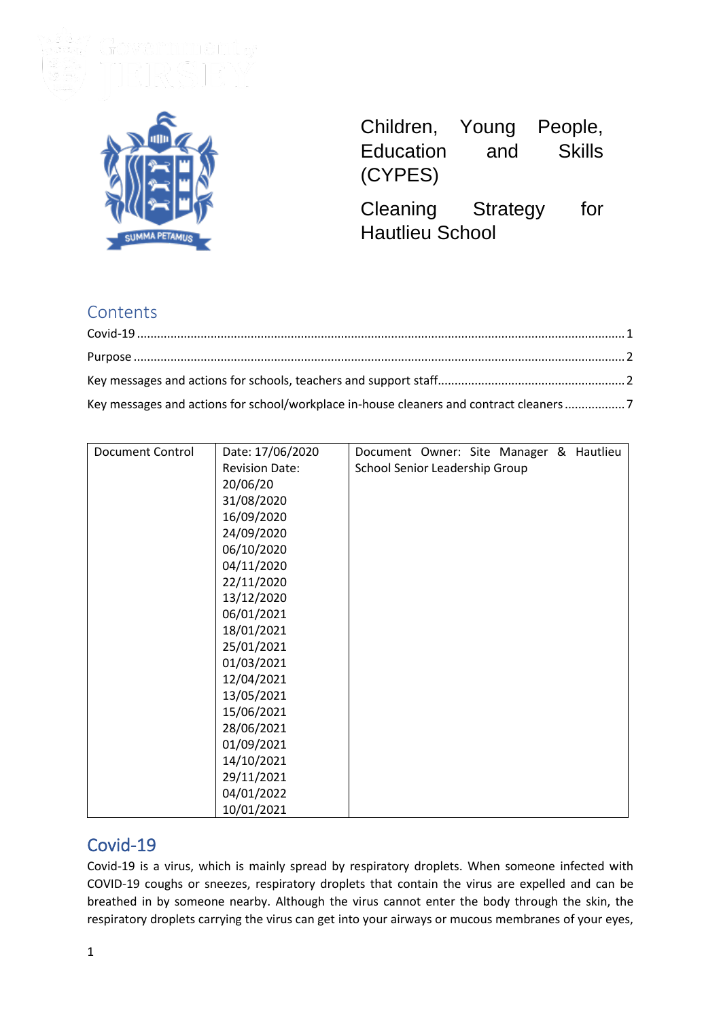

| Children, | Young | People, |
|-----------|-------|---------|
| Education | and   | Skills  |
| (CYPES)   |       |         |

Cleaning Strategy for Hautlieu School

# **Contents**

| Key messages and actions for school/workplace in-house cleaners and contract cleaners 7 |  |
|-----------------------------------------------------------------------------------------|--|

| <b>Document Control</b> | Date: 17/06/2020      | Document Owner: Site Manager & Hautlieu |
|-------------------------|-----------------------|-----------------------------------------|
|                         | <b>Revision Date:</b> | School Senior Leadership Group          |
|                         | 20/06/20              |                                         |
|                         | 31/08/2020            |                                         |
|                         | 16/09/2020            |                                         |
|                         | 24/09/2020            |                                         |
|                         | 06/10/2020            |                                         |
|                         | 04/11/2020            |                                         |
|                         | 22/11/2020            |                                         |
|                         | 13/12/2020            |                                         |
|                         | 06/01/2021            |                                         |
|                         | 18/01/2021            |                                         |
|                         | 25/01/2021            |                                         |
|                         | 01/03/2021            |                                         |
|                         | 12/04/2021            |                                         |
|                         | 13/05/2021            |                                         |
|                         | 15/06/2021            |                                         |
|                         | 28/06/2021            |                                         |
|                         | 01/09/2021            |                                         |
|                         | 14/10/2021            |                                         |
|                         | 29/11/2021            |                                         |
|                         | 04/01/2022            |                                         |
|                         | 10/01/2021            |                                         |

# <span id="page-0-0"></span>Covid-19

Covid-19 is a virus, which is mainly spread by respiratory droplets. When someone infected with COVID-19 coughs or sneezes, respiratory droplets that contain the virus are expelled and can be breathed in by someone nearby. Although the virus cannot enter the body through the skin, the respiratory droplets carrying the virus can get into your airways or mucous membranes of your eyes,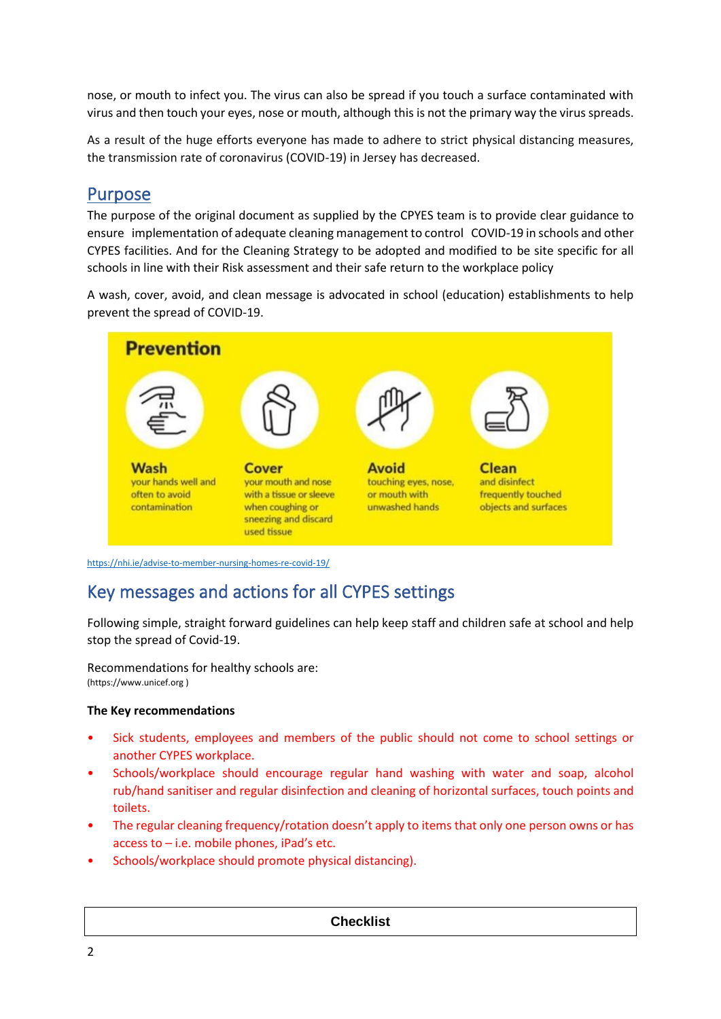nose, or mouth to infect you. The virus can also be spread if you touch a surface contaminated with virus and then touch your eyes, nose or mouth, although this is not the primary way the virus spreads.

As a result of the huge efforts everyone has made to adhere to strict physical distancing measures, the transmission rate of coronavirus (COVID-19) in Jersey has decreased.

# <span id="page-1-0"></span>Purpose

The purpose of the original document as supplied by the CPYES team is to provide clear guidance to ensure implementation of adequate cleaning management to control COVID-19 in schools and other CYPES facilities. And for the Cleaning Strategy to be adopted and modified to be site specific for all schools in line with their Risk assessment and their safe return to the workplace policy

A wash, cover, avoid, and clean message is advocated in school (education) establishments to help prevent the spread of COVID-19.



<span id="page-1-1"></span><https://nhi.ie/advise-to-member-nursing-homes-re-covid-19/>

# Key messages and actions for all CYPES settings

Following simple, straight forward guidelines can help keep staff and children safe at school and help stop the spread of Covid-19.

Recommendations for healthy schools are: (https://www.unicef.org )

## **The Key recommendations**

- Sick students, employees and members of the public should not come to school settings or another CYPES workplace.
- Schools/workplace should encourage regular hand washing with water and soap, alcohol rub/hand sanitiser and regular disinfection and cleaning of horizontal surfaces, touch points and toilets.
- The regular cleaning frequency/rotation doesn't apply to items that only one person owns or has access to – i.e. mobile phones, iPad's etc.
- Schools/workplace should promote physical distancing).

### **Checklist**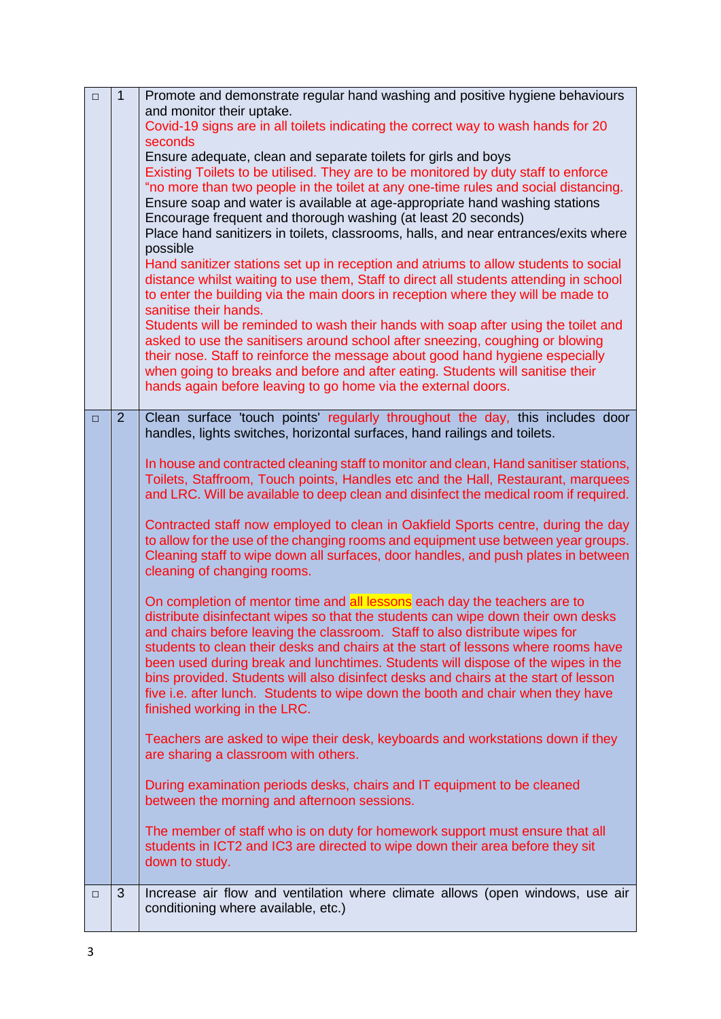| $\Box$ | $\mathbf{1}$   | Promote and demonstrate regular hand washing and positive hygiene behaviours                                                                                              |
|--------|----------------|---------------------------------------------------------------------------------------------------------------------------------------------------------------------------|
|        |                | and monitor their uptake.<br>Covid-19 signs are in all toilets indicating the correct way to wash hands for 20                                                            |
|        |                | seconds                                                                                                                                                                   |
|        |                | Ensure adequate, clean and separate toilets for girls and boys                                                                                                            |
|        |                | Existing Toilets to be utilised. They are to be monitored by duty staff to enforce<br>"no more than two people in the toilet at any one-time rules and social distancing. |
|        |                | Ensure soap and water is available at age-appropriate hand washing stations                                                                                               |
|        |                | Encourage frequent and thorough washing (at least 20 seconds)                                                                                                             |
|        |                | Place hand sanitizers in toilets, classrooms, halls, and near entrances/exits where                                                                                       |
|        |                | possible<br>Hand sanitizer stations set up in reception and atriums to allow students to social                                                                           |
|        |                | distance whilst waiting to use them, Staff to direct all students attending in school                                                                                     |
|        |                | to enter the building via the main doors in reception where they will be made to<br>sanitise their hands.                                                                 |
|        |                | Students will be reminded to wash their hands with soap after using the toilet and                                                                                        |
|        |                | asked to use the sanitisers around school after sneezing, coughing or blowing                                                                                             |
|        |                | their nose. Staff to reinforce the message about good hand hygiene especially<br>when going to breaks and before and after eating. Students will sanitise their           |
|        |                | hands again before leaving to go home via the external doors.                                                                                                             |
|        |                |                                                                                                                                                                           |
| $\Box$ | $\overline{2}$ | Clean surface 'touch points' regularly throughout the day, this includes door<br>handles, lights switches, horizontal surfaces, hand railings and toilets.                |
|        |                | In house and contracted cleaning staff to monitor and clean, Hand sanitiser stations,                                                                                     |
|        |                | Toilets, Staffroom, Touch points, Handles etc and the Hall, Restaurant, marquees                                                                                          |
|        |                | and LRC. Will be available to deep clean and disinfect the medical room if required.                                                                                      |
|        |                | Contracted staff now employed to clean in Oakfield Sports centre, during the day                                                                                          |
|        |                | to allow for the use of the changing rooms and equipment use between year groups.<br>Cleaning staff to wipe down all surfaces, door handles, and push plates in between   |
|        |                | cleaning of changing rooms.                                                                                                                                               |
|        |                | On completion of mentor time and all lessons each day the teachers are to                                                                                                 |
|        |                | distribute disinfectant wipes so that the students can wipe down their own desks                                                                                          |
|        |                | and chairs before leaving the classroom. Staff to also distribute wipes for                                                                                               |
|        |                | students to clean their desks and chairs at the start of lessons where rooms have<br>been used during break and lunchtimes. Students will dispose of the wipes in the     |
|        |                | bins provided. Students will also disinfect desks and chairs at the start of lesson                                                                                       |
|        |                | five i.e. after lunch. Students to wipe down the booth and chair when they have                                                                                           |
|        |                | finished working in the LRC.                                                                                                                                              |
|        |                | Teachers are asked to wipe their desk, keyboards and workstations down if they                                                                                            |
|        |                | are sharing a classroom with others.                                                                                                                                      |
|        |                | During examination periods desks, chairs and IT equipment to be cleaned                                                                                                   |
|        |                | between the morning and afternoon sessions.                                                                                                                               |
|        |                | The member of staff who is on duty for homework support must ensure that all                                                                                              |
|        |                | students in ICT2 and IC3 are directed to wipe down their area before they sit<br>down to study.                                                                           |
|        |                |                                                                                                                                                                           |
| $\Box$ | 3              | Increase air flow and ventilation where climate allows (open windows, use air                                                                                             |
|        |                | conditioning where available, etc.)                                                                                                                                       |
|        |                |                                                                                                                                                                           |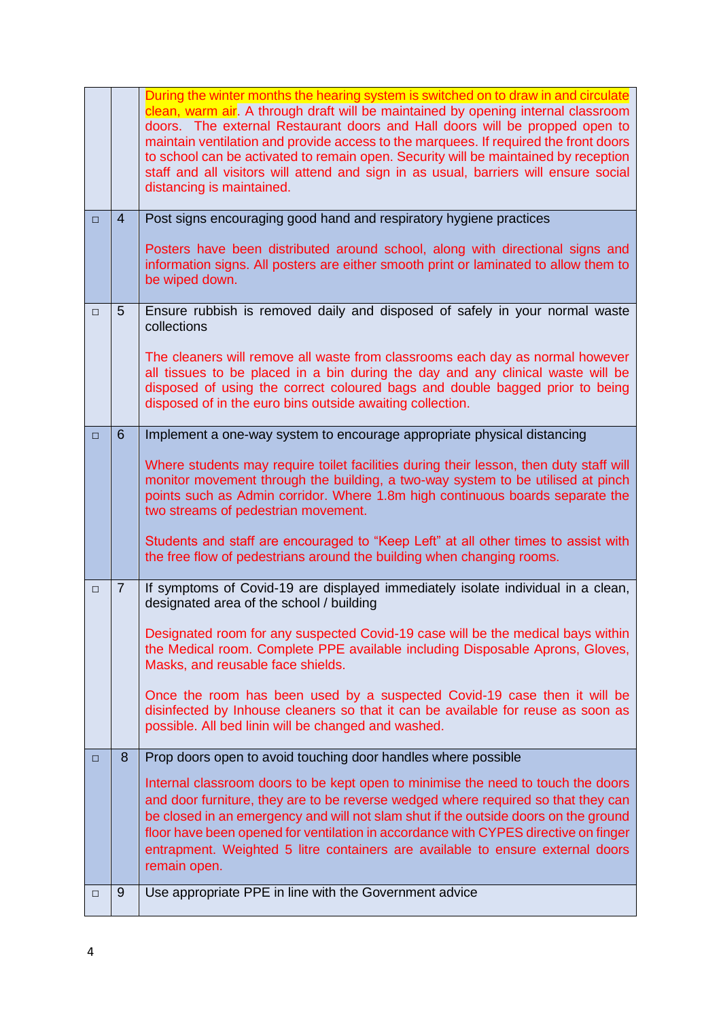|        |                 | During the winter months the hearing system is switched on to draw in and circulate<br>clean, warm air. A through draft will be maintained by opening internal classroom<br>doors. The external Restaurant doors and Hall doors will be propped open to<br>maintain ventilation and provide access to the marquees. If required the front doors<br>to school can be activated to remain open. Security will be maintained by reception<br>staff and all visitors will attend and sign in as usual, barriers will ensure social<br>distancing is maintained. |
|--------|-----------------|-------------------------------------------------------------------------------------------------------------------------------------------------------------------------------------------------------------------------------------------------------------------------------------------------------------------------------------------------------------------------------------------------------------------------------------------------------------------------------------------------------------------------------------------------------------|
| $\Box$ | $\overline{4}$  | Post signs encouraging good hand and respiratory hygiene practices                                                                                                                                                                                                                                                                                                                                                                                                                                                                                          |
|        |                 | Posters have been distributed around school, along with directional signs and<br>information signs. All posters are either smooth print or laminated to allow them to<br>be wiped down.                                                                                                                                                                                                                                                                                                                                                                     |
| $\Box$ | $5\overline{)}$ | Ensure rubbish is removed daily and disposed of safely in your normal waste<br>collections                                                                                                                                                                                                                                                                                                                                                                                                                                                                  |
|        |                 | The cleaners will remove all waste from classrooms each day as normal however<br>all tissues to be placed in a bin during the day and any clinical waste will be<br>disposed of using the correct coloured bags and double bagged prior to being<br>disposed of in the euro bins outside awaiting collection.                                                                                                                                                                                                                                               |
| $\Box$ | 6               | Implement a one-way system to encourage appropriate physical distancing                                                                                                                                                                                                                                                                                                                                                                                                                                                                                     |
|        |                 | Where students may require toilet facilities during their lesson, then duty staff will<br>monitor movement through the building, a two-way system to be utilised at pinch<br>points such as Admin corridor. Where 1.8m high continuous boards separate the<br>two streams of pedestrian movement.                                                                                                                                                                                                                                                           |
|        |                 | Students and staff are encouraged to "Keep Left" at all other times to assist with<br>the free flow of pedestrians around the building when changing rooms.                                                                                                                                                                                                                                                                                                                                                                                                 |
| $\Box$ | $\overline{7}$  | If symptoms of Covid-19 are displayed immediately isolate individual in a clean,<br>designated area of the school / building                                                                                                                                                                                                                                                                                                                                                                                                                                |
|        |                 | Designated room for any suspected Covid-19 case will be the medical bays within<br>the Medical room. Complete PPE available including Disposable Aprons, Gloves,<br>Masks, and reusable face shields.                                                                                                                                                                                                                                                                                                                                                       |
|        |                 | Once the room has been used by a suspected Covid-19 case then it will be<br>disinfected by Inhouse cleaners so that it can be available for reuse as soon as<br>possible. All bed linin will be changed and washed.                                                                                                                                                                                                                                                                                                                                         |
| □      | 8               | Prop doors open to avoid touching door handles where possible                                                                                                                                                                                                                                                                                                                                                                                                                                                                                               |
|        |                 | Internal classroom doors to be kept open to minimise the need to touch the doors<br>and door furniture, they are to be reverse wedged where required so that they can<br>be closed in an emergency and will not slam shut if the outside doors on the ground<br>floor have been opened for ventilation in accordance with CYPES directive on finger<br>entrapment. Weighted 5 litre containers are available to ensure external doors<br>remain open.                                                                                                       |
| □      | 9               | Use appropriate PPE in line with the Government advice                                                                                                                                                                                                                                                                                                                                                                                                                                                                                                      |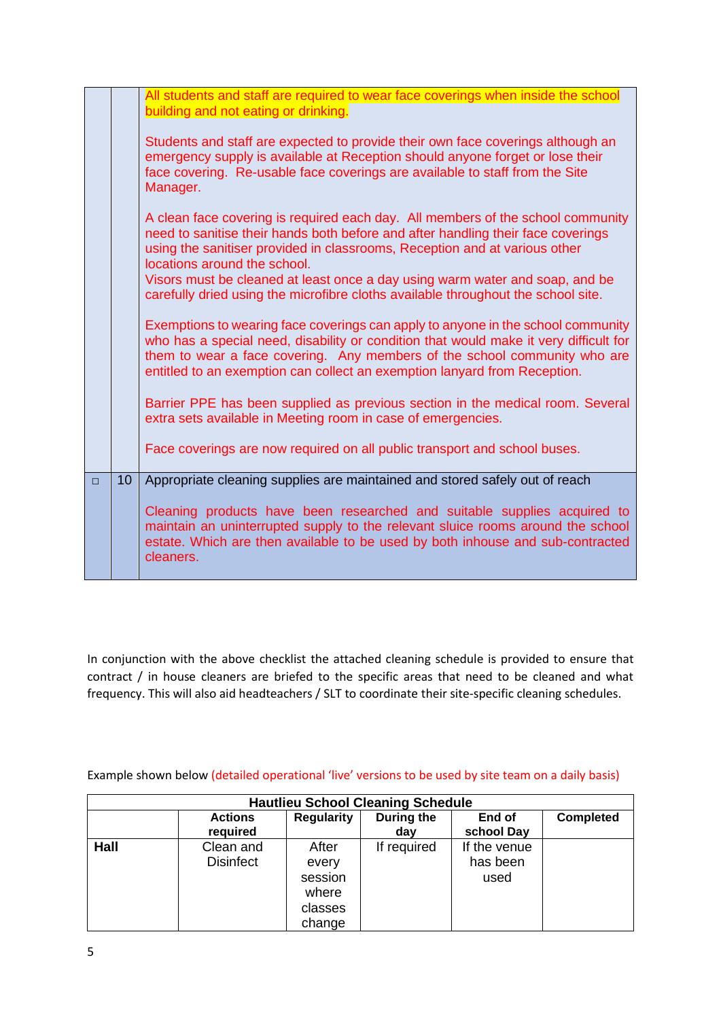|        |                 | All students and staff are required to wear face coverings when inside the school<br>building and not eating or drinking.<br>Students and staff are expected to provide their own face coverings although an<br>emergency supply is available at Reception should anyone forget or lose their<br>face covering. Re-usable face coverings are available to staff from the Site<br>Manager.<br>A clean face covering is required each day. All members of the school community<br>need to sanitise their hands both before and after handling their face coverings<br>using the sanitiser provided in classrooms, Reception and at various other<br>locations around the school.<br>Visors must be cleaned at least once a day using warm water and soap, and be<br>carefully dried using the microfibre cloths available throughout the school site.<br>Exemptions to wearing face coverings can apply to anyone in the school community<br>who has a special need, disability or condition that would make it very difficult for<br>them to wear a face covering. Any members of the school community who are<br>entitled to an exemption can collect an exemption lanyard from Reception.<br>Barrier PPE has been supplied as previous section in the medical room. Several<br>extra sets available in Meeting room in case of emergencies.<br>Face coverings are now required on all public transport and school buses. |
|--------|-----------------|---------------------------------------------------------------------------------------------------------------------------------------------------------------------------------------------------------------------------------------------------------------------------------------------------------------------------------------------------------------------------------------------------------------------------------------------------------------------------------------------------------------------------------------------------------------------------------------------------------------------------------------------------------------------------------------------------------------------------------------------------------------------------------------------------------------------------------------------------------------------------------------------------------------------------------------------------------------------------------------------------------------------------------------------------------------------------------------------------------------------------------------------------------------------------------------------------------------------------------------------------------------------------------------------------------------------------------------------------------------------------------------------------------------------------|
| $\Box$ | 10 <sup>°</sup> | Appropriate cleaning supplies are maintained and stored safely out of reach<br>Cleaning products have been researched and suitable supplies acquired to<br>maintain an uninterrupted supply to the relevant sluice rooms around the school<br>estate. Which are then available to be used by both inhouse and sub-contracted<br>cleaners.                                                                                                                                                                                                                                                                                                                                                                                                                                                                                                                                                                                                                                                                                                                                                                                                                                                                                                                                                                                                                                                                                 |

In conjunction with the above checklist the attached cleaning schedule is provided to ensure that contract / in house cleaners are briefed to the specific areas that need to be cleaned and what frequency. This will also aid headteachers / SLT to coordinate their site-specific cleaning schedules.

Example shown below (detailed operational 'live' versions to be used by site team on a daily basis)

|      |                               |                                                         | <b>Hautlieu School Cleaning Schedule</b> |                                  |                  |
|------|-------------------------------|---------------------------------------------------------|------------------------------------------|----------------------------------|------------------|
|      | <b>Actions</b><br>required    | <b>Regularity</b>                                       | During the<br>day                        | End of<br>school Day             | <b>Completed</b> |
| Hall | Clean and<br><b>Disinfect</b> | After<br>every<br>session<br>where<br>classes<br>change | If required                              | If the venue<br>has been<br>used |                  |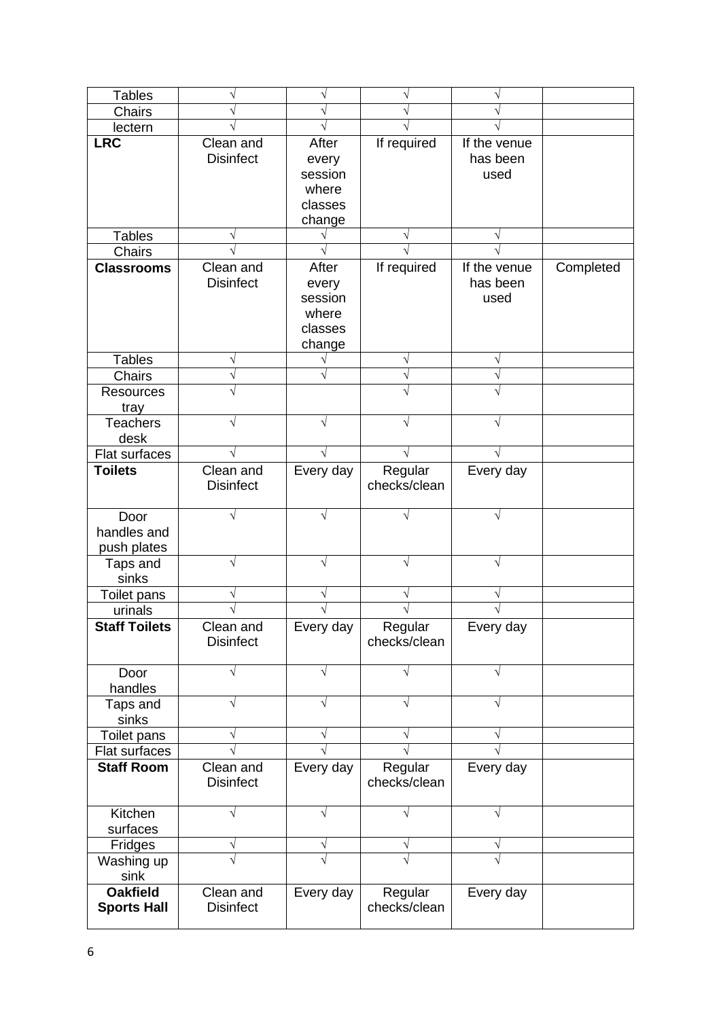| <b>Tables</b>        |                  | $\sqrt{}$        | $\sqrt{}$    | V            |           |
|----------------------|------------------|------------------|--------------|--------------|-----------|
| Chairs               |                  | V                |              |              |           |
| lectern              |                  |                  |              |              |           |
| <b>LRC</b>           | Clean and        | After            | If required  | If the venue |           |
|                      | <b>Disinfect</b> | every            |              | has been     |           |
|                      |                  | session          |              | used         |           |
|                      |                  | where            |              |              |           |
|                      |                  | classes          |              |              |           |
|                      |                  | change           |              |              |           |
| <b>Tables</b>        |                  |                  | V            |              |           |
| <b>Chairs</b>        |                  |                  |              |              |           |
| <b>Classrooms</b>    | Clean and        | After            | If required  | If the venue | Completed |
|                      | <b>Disinfect</b> | every            |              | has been     |           |
|                      |                  | session<br>where |              | used         |           |
|                      |                  | classes          |              |              |           |
|                      |                  | change           |              |              |           |
| <b>Tables</b>        | V                |                  | $\sqrt{}$    | V            |           |
| Chairs               |                  | V                | $\sqrt{}$    | V            |           |
| <b>Resources</b>     |                  |                  | $\sqrt{}$    |              |           |
| tray                 |                  |                  |              |              |           |
| <b>Teachers</b>      |                  | $\sqrt{}$        | V            | V            |           |
| desk                 |                  |                  |              |              |           |
| Flat surfaces        |                  |                  |              |              |           |
| <b>Toilets</b>       | Clean and        | Every day        | Regular      | Every day    |           |
|                      | <b>Disinfect</b> |                  | checks/clean |              |           |
|                      |                  |                  |              |              |           |
| Door                 |                  |                  |              |              |           |
| handles and          |                  |                  |              |              |           |
| push plates          |                  |                  |              |              |           |
| Taps and             |                  | $\sqrt{}$        |              | V            |           |
| sinks                |                  |                  |              |              |           |
| Toilet pans          |                  | V                | V            | V            |           |
| urinals              |                  |                  |              |              |           |
| <b>Staff Toilets</b> | Clean and        | Every day        | Regular      | Every day    |           |
|                      | <b>Disinfect</b> |                  | checks/clean |              |           |
|                      |                  | V                |              | V            |           |
| Door<br>handles      |                  |                  |              |              |           |
| Taps and             |                  | $\sqrt{}$        | $\sqrt{}$    | V            |           |
| sinks                |                  |                  |              |              |           |
| Toilet pans          |                  | V                | V            | V            |           |
| Flat surfaces        |                  |                  |              |              |           |
| <b>Staff Room</b>    | Clean and        | Every day        | Regular      | Every day    |           |
|                      | <b>Disinfect</b> |                  | checks/clean |              |           |
|                      |                  |                  |              |              |           |
| Kitchen              |                  | $\sqrt{}$        | V            | $\sqrt{}$    |           |
| surfaces             |                  |                  |              |              |           |
| Fridges              |                  | V                | V            | V            |           |
| Washing up           |                  |                  |              |              |           |
| sink                 |                  |                  |              |              |           |
| <b>Oakfield</b>      | Clean and        | Every day        | Regular      | Every day    |           |
| <b>Sports Hall</b>   | <b>Disinfect</b> |                  | checks/clean |              |           |
|                      |                  |                  |              |              |           |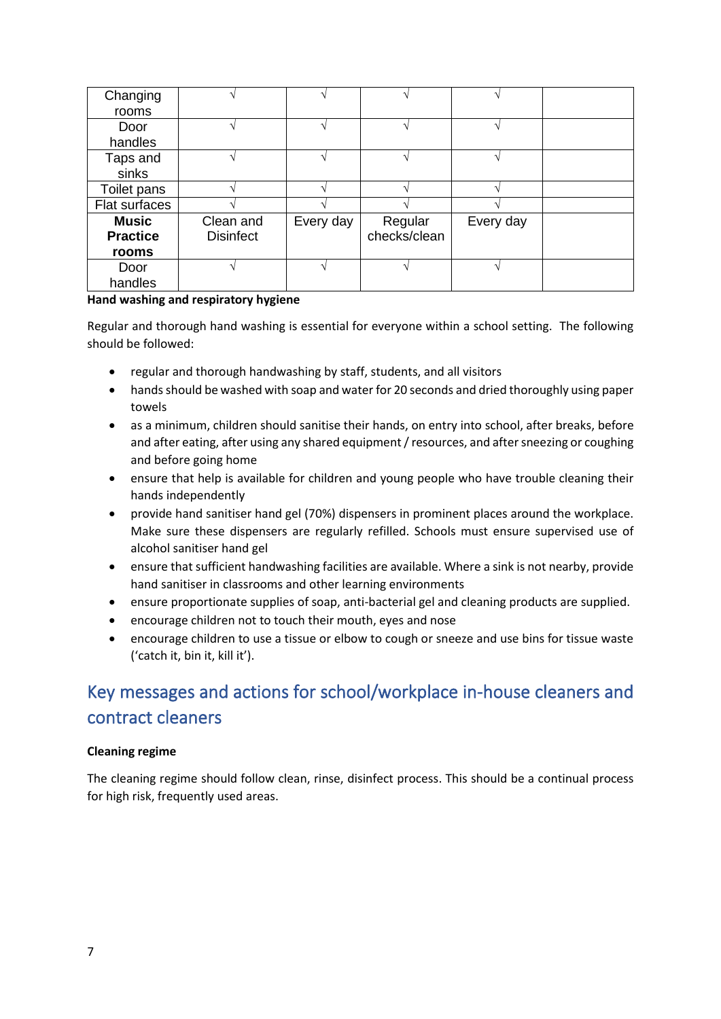| Changing        |                  |           |              |           |  |
|-----------------|------------------|-----------|--------------|-----------|--|
| rooms           |                  |           |              |           |  |
| Door            |                  |           |              |           |  |
| handles         |                  |           |              |           |  |
| Taps and        |                  |           |              |           |  |
| sinks           |                  |           |              |           |  |
| Toilet pans     |                  |           |              |           |  |
| Flat surfaces   |                  |           |              |           |  |
| <b>Music</b>    | Clean and        | Every day | Regular      | Every day |  |
| <b>Practice</b> | <b>Disinfect</b> |           | checks/clean |           |  |
| rooms           |                  |           |              |           |  |
| Door            |                  |           |              |           |  |
| handles         |                  |           |              |           |  |

### **Hand washing and respiratory hygiene**

Regular and thorough hand washing is essential for everyone within a school setting. The following should be followed:

- regular and thorough handwashing by staff, students, and all visitors
- hands should be washed with soap and water for 20 seconds and dried thoroughly using paper towels
- as a minimum, children should sanitise their hands, on entry into school, after breaks, before and after eating, after using any shared equipment / resources, and after sneezing or coughing and before going home
- ensure that help is available for children and young people who have trouble cleaning their hands independently
- provide hand sanitiser hand gel (70%) dispensers in prominent places around the workplace. Make sure these dispensers are regularly refilled. Schools must ensure supervised use of alcohol sanitiser hand gel
- ensure that sufficient handwashing facilities are available. Where a sink is not nearby, provide hand sanitiser in classrooms and other learning environments
- ensure proportionate supplies of soap, anti-bacterial gel and cleaning products are supplied.
- encourage children not to touch their mouth, eyes and nose
- encourage children to use a tissue or elbow to cough or sneeze and use bins for tissue waste ('catch it, bin it, kill it').

# <span id="page-6-0"></span>Key messages and actions for school/workplace in-house cleaners and contract cleaners

## **Cleaning regime**

The cleaning regime should follow clean, rinse, disinfect process. This should be a continual process for high risk, frequently used areas.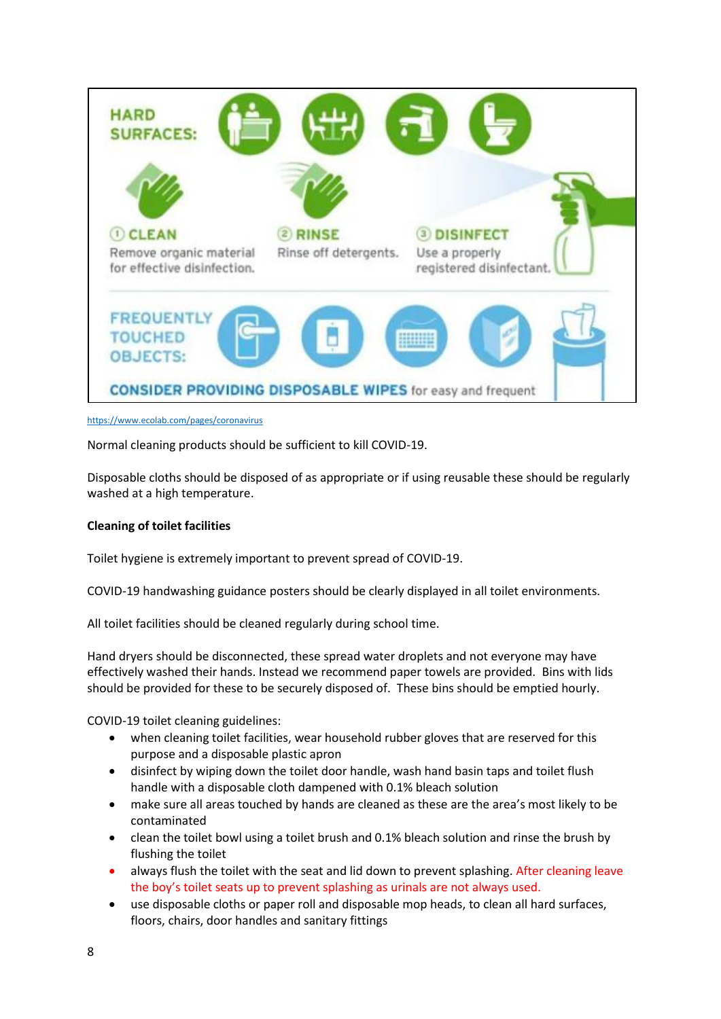

#### <https://www.ecolab.com/pages/coronavirus>

Normal cleaning products should be sufficient to kill COVID-19.

Disposable cloths should be disposed of as appropriate or if using reusable these should be regularly washed at a high temperature.

### **Cleaning of toilet facilities**

Toilet hygiene is extremely important to prevent spread of COVID-19.

COVID-19 handwashing guidance posters should be clearly displayed in all toilet environments.

All toilet facilities should be cleaned regularly during school time.

Hand dryers should be disconnected, these spread water droplets and not everyone may have effectively washed their hands. Instead we recommend paper towels are provided. Bins with lids should be provided for these to be securely disposed of. These bins should be emptied hourly.

COVID-19 toilet cleaning guidelines:

- when cleaning toilet facilities, wear household rubber gloves that are reserved for this purpose and a disposable plastic apron
- disinfect by wiping down the toilet door handle, wash hand basin taps and toilet flush handle with a disposable cloth dampened with 0.1% bleach solution
- make sure all areas touched by hands are cleaned as these are the area's most likely to be contaminated
- clean the toilet bowl using a toilet brush and 0.1% bleach solution and rinse the brush by flushing the toilet
- always flush the toilet with the seat and lid down to prevent splashing. After cleaning leave the boy's toilet seats up to prevent splashing as urinals are not always used.
- use disposable cloths or paper roll and disposable mop heads, to clean all hard surfaces, floors, chairs, door handles and sanitary fittings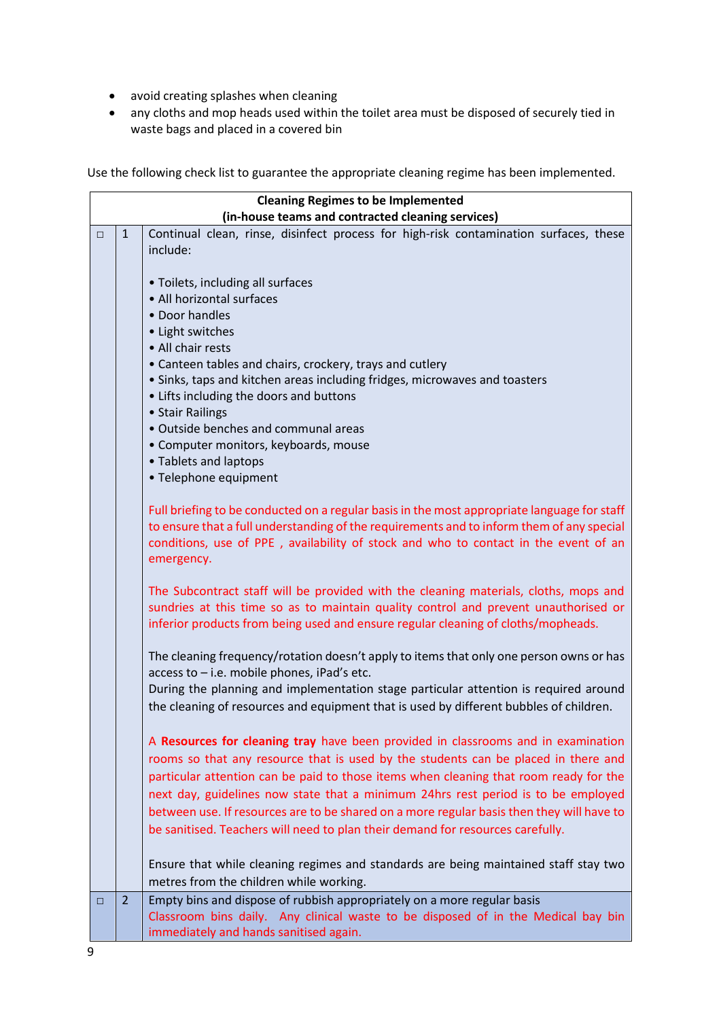- avoid creating splashes when cleaning
- any cloths and mop heads used within the toilet area must be disposed of securely tied in waste bags and placed in a covered bin

Use the following check list to guarantee the appropriate cleaning regime has been implemented.

|        |                | <b>Cleaning Regimes to be Implemented</b>                                                   |
|--------|----------------|---------------------------------------------------------------------------------------------|
|        |                | (in-house teams and contracted cleaning services)                                           |
| $\Box$ | $\mathbf{1}$   | Continual clean, rinse, disinfect process for high-risk contamination surfaces, these       |
|        |                | include:                                                                                    |
|        |                | • Toilets, including all surfaces                                                           |
|        |                | • All horizontal surfaces                                                                   |
|        |                | • Door handles                                                                              |
|        |                | • Light switches                                                                            |
|        |                | • All chair rests                                                                           |
|        |                | • Canteen tables and chairs, crockery, trays and cutlery                                    |
|        |                | • Sinks, taps and kitchen areas including fridges, microwaves and toasters                  |
|        |                | • Lifts including the doors and buttons                                                     |
|        |                | • Stair Railings                                                                            |
|        |                | • Outside benches and communal areas                                                        |
|        |                | • Computer monitors, keyboards, mouse                                                       |
|        |                | • Tablets and laptops                                                                       |
|        |                | • Telephone equipment                                                                       |
|        |                | Full briefing to be conducted on a regular basis in the most appropriate language for staff |
|        |                | to ensure that a full understanding of the requirements and to inform them of any special   |
|        |                | conditions, use of PPE, availability of stock and who to contact in the event of an         |
|        |                | emergency.                                                                                  |
|        |                |                                                                                             |
|        |                | The Subcontract staff will be provided with the cleaning materials, cloths, mops and        |
|        |                | sundries at this time so as to maintain quality control and prevent unauthorised or         |
|        |                | inferior products from being used and ensure regular cleaning of cloths/mopheads.           |
|        |                | The cleaning frequency/rotation doesn't apply to items that only one person owns or has     |
|        |                | access to - i.e. mobile phones, iPad's etc.                                                 |
|        |                | During the planning and implementation stage particular attention is required around        |
|        |                | the cleaning of resources and equipment that is used by different bubbles of children.      |
|        |                | A Resources for cleaning tray have been provided in classrooms and in examination           |
|        |                | rooms so that any resource that is used by the students can be placed in there and          |
|        |                | particular attention can be paid to those items when cleaning that room ready for the       |
|        |                | next day, guidelines now state that a minimum 24hrs rest period is to be employed           |
|        |                | between use. If resources are to be shared on a more regular basis then they will have to   |
|        |                | be sanitised. Teachers will need to plan their demand for resources carefully.              |
|        |                |                                                                                             |
|        |                | Ensure that while cleaning regimes and standards are being maintained staff stay two        |
|        |                | metres from the children while working.                                                     |
| $\Box$ | $\overline{2}$ | Empty bins and dispose of rubbish appropriately on a more regular basis                     |
|        |                | Classroom bins daily. Any clinical waste to be disposed of in the Medical bay bin           |
|        |                | immediately and hands sanitised again.                                                      |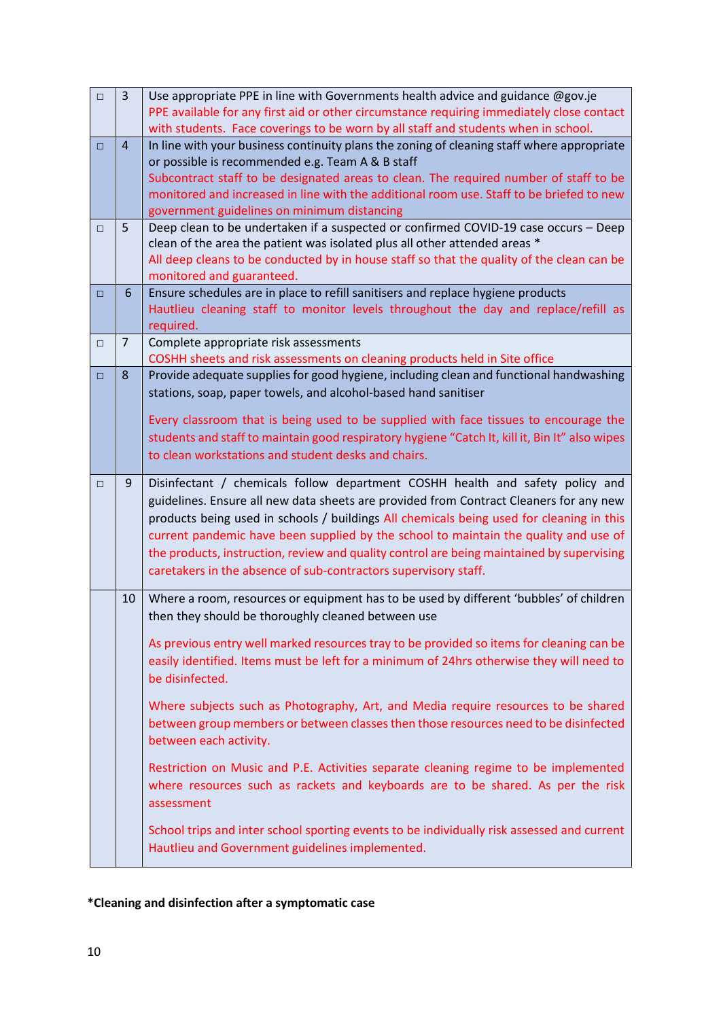| $\Box$ | $\overline{3}$ | Use appropriate PPE in line with Governments health advice and guidance @gov.je                                                               |
|--------|----------------|-----------------------------------------------------------------------------------------------------------------------------------------------|
|        |                | PPE available for any first aid or other circumstance requiring immediately close contact                                                     |
|        |                | with students. Face coverings to be worn by all staff and students when in school.                                                            |
| $\Box$ | 4              | In line with your business continuity plans the zoning of cleaning staff where appropriate                                                    |
|        |                | or possible is recommended e.g. Team A & B staff                                                                                              |
|        |                | Subcontract staff to be designated areas to clean. The required number of staff to be                                                         |
|        |                | monitored and increased in line with the additional room use. Staff to be briefed to new                                                      |
|        |                | government guidelines on minimum distancing                                                                                                   |
| $\Box$ | 5              | Deep clean to be undertaken if a suspected or confirmed COVID-19 case occurs - Deep                                                           |
|        |                | clean of the area the patient was isolated plus all other attended areas *                                                                    |
|        |                | All deep cleans to be conducted by in house staff so that the quality of the clean can be                                                     |
|        |                | monitored and guaranteed.                                                                                                                     |
| $\Box$ | 6              | Ensure schedules are in place to refill sanitisers and replace hygiene products                                                               |
|        |                | Hautlieu cleaning staff to monitor levels throughout the day and replace/refill as                                                            |
|        | 7              | required.                                                                                                                                     |
| $\Box$ |                | Complete appropriate risk assessments<br>COSHH sheets and risk assessments on cleaning products held in Site office                           |
| $\Box$ | 8              | Provide adequate supplies for good hygiene, including clean and functional handwashing                                                        |
|        |                | stations, soap, paper towels, and alcohol-based hand sanitiser                                                                                |
|        |                |                                                                                                                                               |
|        |                | Every classroom that is being used to be supplied with face tissues to encourage the                                                          |
|        |                | students and staff to maintain good respiratory hygiene "Catch It, kill it, Bin It" also wipes                                                |
|        |                | to clean workstations and student desks and chairs.                                                                                           |
|        |                |                                                                                                                                               |
| $\Box$ | 9              | Disinfectant / chemicals follow department COSHH health and safety policy and                                                                 |
|        |                |                                                                                                                                               |
|        |                | guidelines. Ensure all new data sheets are provided from Contract Cleaners for any new                                                        |
|        |                | products being used in schools / buildings All chemicals being used for cleaning in this                                                      |
|        |                | current pandemic have been supplied by the school to maintain the quality and use of                                                          |
|        |                | the products, instruction, review and quality control are being maintained by supervising                                                     |
|        |                | caretakers in the absence of sub-contractors supervisory staff.                                                                               |
|        | 10             |                                                                                                                                               |
|        |                | Where a room, resources or equipment has to be used by different 'bubbles' of children<br>then they should be thoroughly cleaned between use  |
|        |                |                                                                                                                                               |
|        |                | As previous entry well marked resources tray to be provided so items for cleaning can be                                                      |
|        |                | easily identified. Items must be left for a minimum of 24hrs otherwise they will need to                                                      |
|        |                | be disinfected.                                                                                                                               |
|        |                |                                                                                                                                               |
|        |                | Where subjects such as Photography, Art, and Media require resources to be shared                                                             |
|        |                | between group members or between classes then those resources need to be disinfected                                                          |
|        |                | between each activity.                                                                                                                        |
|        |                | Restriction on Music and P.E. Activities separate cleaning regime to be implemented                                                           |
|        |                | where resources such as rackets and keyboards are to be shared. As per the risk                                                               |
|        |                | assessment                                                                                                                                    |
|        |                |                                                                                                                                               |
|        |                | School trips and inter school sporting events to be individually risk assessed and current<br>Hautlieu and Government guidelines implemented. |

## **\*Cleaning and disinfection after a symptomatic case**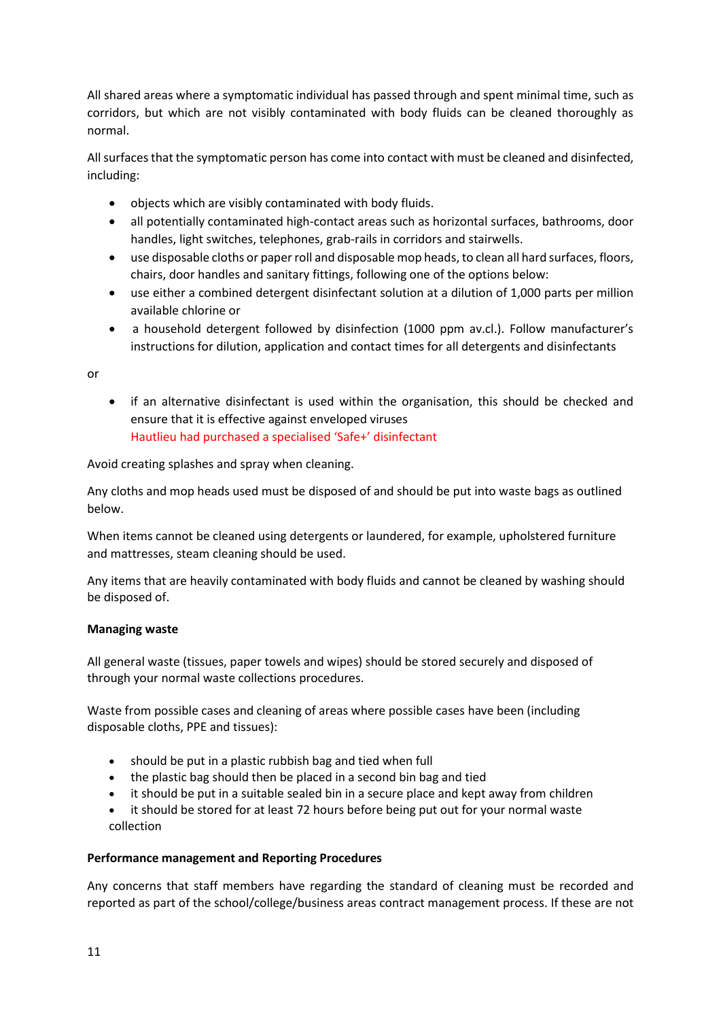All shared areas where a symptomatic individual has passed through and spent minimal time, such as corridors, but which are not visibly contaminated with body fluids can be cleaned thoroughly as normal.

All surfaces that the symptomatic person has come into contact with must be cleaned and disinfected, including:

- objects which are visibly contaminated with body fluids.
- all potentially contaminated high-contact areas such as horizontal surfaces, bathrooms, door handles, light switches, telephones, grab-rails in corridors and stairwells.
- use disposable cloths or paper roll and disposable mop heads, to clean all hard surfaces, floors, chairs, door handles and sanitary fittings, following one of the options below:
- use either a combined detergent disinfectant solution at a dilution of 1,000 parts per million available chlorine or
- a household detergent followed by disinfection (1000 ppm av.cl.). Follow manufacturer's instructions for dilution, application and contact times for all detergents and disinfectants

or

• if an alternative disinfectant is used within the organisation, this should be checked and ensure that it is effective against enveloped viruses Hautlieu had purchased a specialised 'Safe+' disinfectant

Avoid creating splashes and spray when cleaning.

Any cloths and mop heads used must be disposed of and should be put into waste bags as outlined below.

When items cannot be cleaned using detergents or laundered, for example, upholstered furniture and mattresses, steam cleaning should be used.

Any items that are heavily contaminated with body fluids and cannot be cleaned by washing should be disposed of.

## **Managing waste**

All general waste (tissues, paper towels and wipes) should be stored securely and disposed of through your normal waste collections procedures.

Waste from possible cases and cleaning of areas where possible cases have been (including disposable cloths, PPE and tissues):

- should be put in a plastic rubbish bag and tied when full
- the plastic bag should then be placed in a second bin bag and tied
- it should be put in a suitable sealed bin in a secure place and kept away from children
- it should be stored for at least 72 hours before being put out for your normal waste collection

### **Performance management and Reporting Procedures**

Any concerns that staff members have regarding the standard of cleaning must be recorded and reported as part of the school/college/business areas contract management process. If these are not